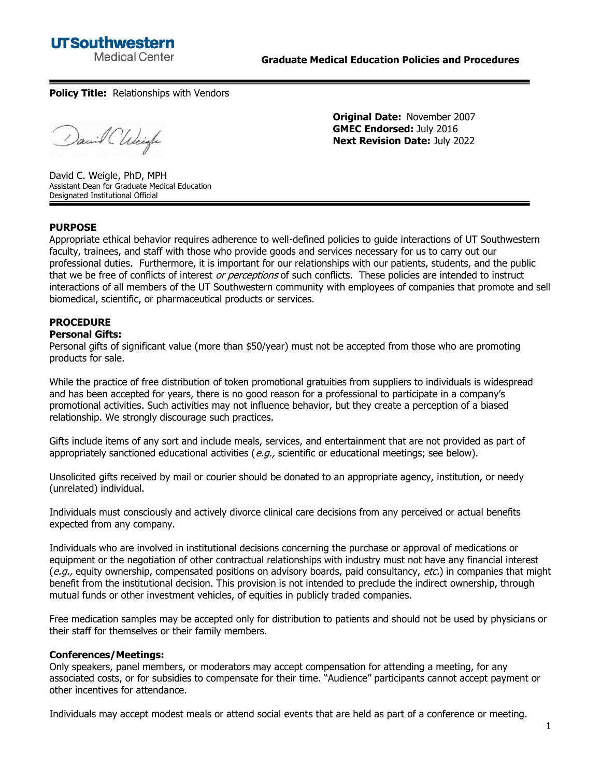## **UTSouthwestern Medical Center**

**Policy Title:** Relationships with Vendors

David Chleigh

**Original Date:** November 2007 **GMEC Endorsed:** July 2016 **Next Revision Date:** July 2022

David C. Weigle, PhD, MPH Assistant Dean for Graduate Medical Education Designated Institutional Official

## **PURPOSE**

Appropriate ethical behavior requires adherence to well-defined policies to guide interactions of UT Southwestern faculty, trainees, and staff with those who provide goods and services necessary for us to carry out our professional duties. Furthermore, it is important for our relationships with our patients, students, and the public that we be free of conflicts of interest or perceptions of such conflicts. These policies are intended to instruct interactions of all members of the UT Southwestern community with employees of companies that promote and sell biomedical, scientific, or pharmaceutical products or services.

## **PROCEDURE**

#### **Personal Gifts:**

Personal gifts of significant value (more than \$50/year) must not be accepted from those who are promoting products for sale.

While the practice of free distribution of token promotional gratuities from suppliers to individuals is widespread and has been accepted for years, there is no good reason for a professional to participate in a company's promotional activities. Such activities may not influence behavior, but they create a perception of a biased relationship. We strongly discourage such practices.

Gifts include items of any sort and include meals, services, and entertainment that are not provided as part of appropriately sanctioned educational activities ( $e.g.,$  scientific or educational meetings; see below).

Unsolicited gifts received by mail or courier should be donated to an appropriate agency, institution, or needy (unrelated) individual.

Individuals must consciously and actively divorce clinical care decisions from any perceived or actual benefits expected from any company.

Individuals who are involved in institutional decisions concerning the purchase or approval of medications or equipment or the negotiation of other contractual relationships with industry must not have any financial interest (e.g., equity ownership, compensated positions on advisory boards, paid consultancy, etc.) in companies that might benefit from the institutional decision. This provision is not intended to preclude the indirect ownership, through mutual funds or other investment vehicles, of equities in publicly traded companies.

Free medication samples may be accepted only for distribution to patients and should not be used by physicians or their staff for themselves or their family members.

## **Conferences/Meetings:**

Only speakers, panel members, or moderators may accept compensation for attending a meeting, for any associated costs, or for subsidies to compensate for their time. "Audience" participants cannot accept payment or other incentives for attendance.

Individuals may accept modest meals or attend social events that are held as part of a conference or meeting.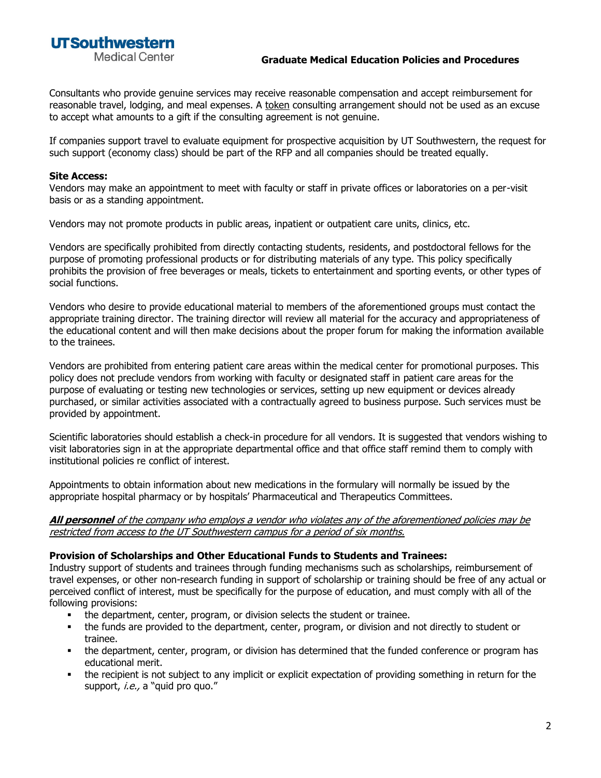**UTSouthwestern Medical Center** 

## **Graduate Medical Education Policies and Procedures**

Consultants who provide genuine services may receive reasonable compensation and accept reimbursement for reasonable travel, lodging, and meal expenses. A token consulting arrangement should not be used as an excuse to accept what amounts to a gift if the consulting agreement is not genuine.

If companies support travel to evaluate equipment for prospective acquisition by UT Southwestern, the request for such support (economy class) should be part of the RFP and all companies should be treated equally.

### **Site Access:**

Vendors may make an appointment to meet with faculty or staff in private offices or laboratories on a per-visit basis or as a standing appointment.

Vendors may not promote products in public areas, inpatient or outpatient care units, clinics, etc.

Vendors are specifically prohibited from directly contacting students, residents, and postdoctoral fellows for the purpose of promoting professional products or for distributing materials of any type. This policy specifically prohibits the provision of free beverages or meals, tickets to entertainment and sporting events, or other types of social functions.

Vendors who desire to provide educational material to members of the aforementioned groups must contact the appropriate training director. The training director will review all material for the accuracy and appropriateness of the educational content and will then make decisions about the proper forum for making the information available to the trainees.

Vendors are prohibited from entering patient care areas within the medical center for promotional purposes. This policy does not preclude vendors from working with faculty or designated staff in patient care areas for the purpose of evaluating or testing new technologies or services, setting up new equipment or devices already purchased, or similar activities associated with a contractually agreed to business purpose. Such services must be provided by appointment.

Scientific laboratories should establish a check-in procedure for all vendors. It is suggested that vendors wishing to visit laboratories sign in at the appropriate departmental office and that office staff remind them to comply with institutional policies re conflict of interest.

Appointments to obtain information about new medications in the formulary will normally be issued by the appropriate hospital pharmacy or by hospitals' Pharmaceutical and Therapeutics Committees.

#### **All personnel** of the company who employs a vendor who violates any of the aforementioned policies may be restricted from access to the UT Southwestern campus for a period of six months.

## **Provision of Scholarships and Other Educational Funds to Students and Trainees:**

Industry support of students and trainees through funding mechanisms such as scholarships, reimbursement of travel expenses, or other non-research funding in support of scholarship or training should be free of any actual or perceived conflict of interest, must be specifically for the purpose of education, and must comply with all of the following provisions:

- the department, center, program, or division selects the student or trainee.
- the funds are provided to the department, center, program, or division and not directly to student or trainee.
- the department, center, program, or division has determined that the funded conference or program has educational merit.
- the recipient is not subject to any implicit or explicit expectation of providing something in return for the support, *i.e.*, a "quid pro quo."